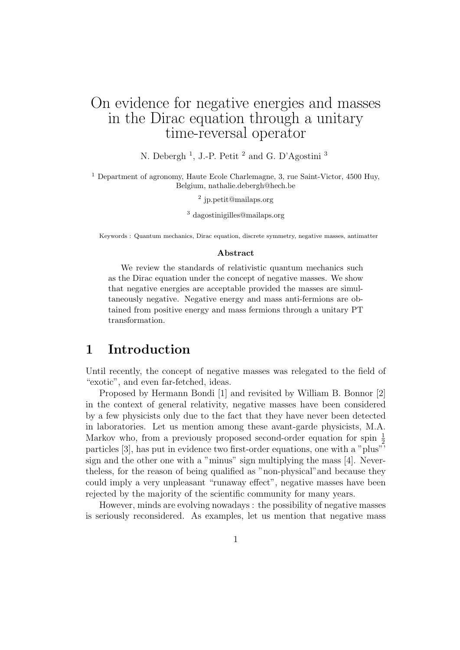# On evidence for negative energies and masses in the Dirac equation through a unitary time-reversal operator

N. Debergh<sup>1</sup>, J.-P. Petit<sup>2</sup> and G. D'Agostini<sup>3</sup>

<sup>1</sup> Department of agronomy, Haute Ecole Charlemagne, 3, rue Saint-Victor, 4500 Huy, Belgium, nathalie.debergh@hech.be

2 jp.petit@mailaps.org

<sup>3</sup> dagostinigilles@mailaps.org

Keywords : Quantum mechanics, Dirac equation, discrete symmetry, negative masses, antimatter

#### **Abstract**

We review the standards of relativistic quantum mechanics such as the Dirac equation under the concept of negative masses. We show that negative energies are acceptable provided the masses are simultaneously negative. Negative energy and mass anti-fermions are obtained from positive energy and mass fermions through a unitary PT transformation.

### **1 Introduction**

Until recently, the concept of negative masses was relegated to the field of "exotic", and even far-fetched, ideas.

Proposed by Hermann Bondi [1] and revisited by William B. Bonnor [2] in the context of general relativity, negative masses have been considered by a few physicists only due to the fact that they have never been detected in laboratories. Let us mention among these avant-garde physicists, M.A. Markov who, from a previously proposed second-order equation for spin  $\frac{1}{2}$ particles [3], has put in evidence two first-order equations, one with a "plus"' sign and the other one with a "minus" sign multiplying the mass [4]. Nevertheless, for the reason of being qualified as "non-physical"and because they could imply a very unpleasant "runaway effect", negative masses have been rejected by the majority of the scientific community for many years.

However, minds are evolving nowadays : the possibility of negative masses is seriously reconsidered. As examples, let us mention that negative mass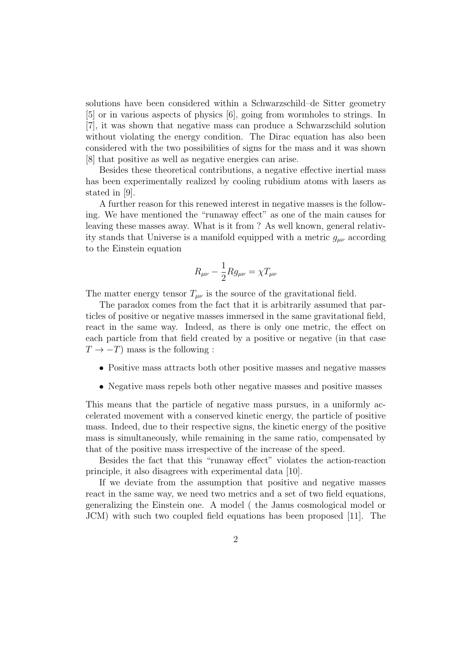solutions have been considered within a Schwarzschild–de Sitter geometry [5] or in various aspects of physics [6], going from wormholes to strings. In [7], it was shown that negative mass can produce a Schwarzschild solution without violating the energy condition. The Dirac equation has also been considered with the two possibilities of signs for the mass and it was shown [8] that positive as well as negative energies can arise.

Besides these theoretical contributions, a negative effective inertial mass has been experimentally realized by cooling rubidium atoms with lasers as stated in [9].

A further reason for this renewed interest in negative masses is the following. We have mentioned the "runaway effect" as one of the main causes for leaving these masses away. What is it from ? As well known, general relativity stands that Universe is a manifold equipped with a metric *gµν* according to the Einstein equation

$$
R_{\mu\nu} - \frac{1}{2} R g_{\mu\nu} = \chi T_{\mu\nu}
$$

The matter energy tensor  $T_{\mu\nu}$  is the source of the gravitational field.

The paradox comes from the fact that it is arbitrarily assumed that particles of positive or negative masses immersed in the same gravitational field, react in the same way. Indeed, as there is only one metric, the effect on each particle from that field created by a positive or negative (in that case  $T \rightarrow -T$ ) mass is the following :

- Positive mass attracts both other positive masses and negative masses
- Negative mass repels both other negative masses and positive masses

This means that the particle of negative mass pursues, in a uniformly accelerated movement with a conserved kinetic energy, the particle of positive mass. Indeed, due to their respective signs, the kinetic energy of the positive mass is simultaneously, while remaining in the same ratio, compensated by that of the positive mass irrespective of the increase of the speed.

Besides the fact that this "runaway effect" violates the action-reaction principle, it also disagrees with experimental data [10].

If we deviate from the assumption that positive and negative masses react in the same way, we need two metrics and a set of two field equations, generalizing the Einstein one. A model ( the Janus cosmological model or JCM) with such two coupled field equations has been proposed [11]. The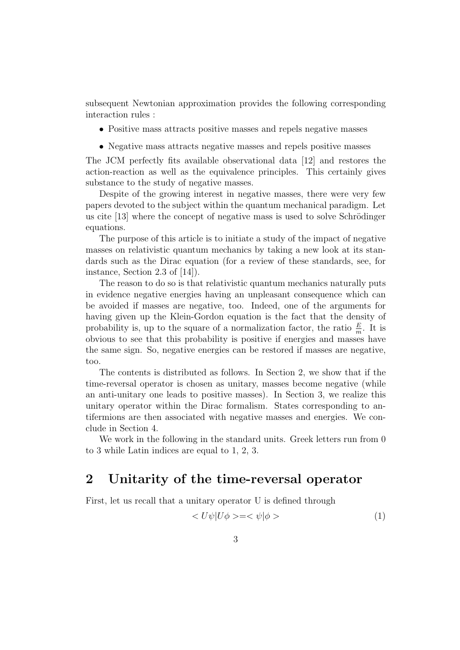subsequent Newtonian approximation provides the following corresponding interaction rules :

- Positive mass attracts positive masses and repels negative masses
- Negative mass attracts negative masses and repels positive masses

The JCM perfectly fits available observational data [12] and restores the action-reaction as well as the equivalence principles. This certainly gives substance to the study of negative masses.

Despite of the growing interest in negative masses, there were very few papers devoted to the subject within the quantum mechanical paradigm. Let us cite  $[13]$  where the concept of negative mass is used to solve Schrödinger equations.

The purpose of this article is to initiate a study of the impact of negative masses on relativistic quantum mechanics by taking a new look at its standards such as the Dirac equation (for a review of these standards, see, for instance, Section 2.3 of [14]).

The reason to do so is that relativistic quantum mechanics naturally puts in evidence negative energies having an unpleasant consequence which can be avoided if masses are negative, too. Indeed, one of the arguments for having given up the Klein-Gordon equation is the fact that the density of probability is, up to the square of a normalization factor, the ratio  $\frac{E}{m}$ . It is obvious to see that this probability is positive if energies and masses have the same sign. So, negative energies can be restored if masses are negative, too.

The contents is distributed as follows. In Section 2, we show that if the time-reversal operator is chosen as unitary, masses become negative (while an anti-unitary one leads to positive masses). In Section 3, we realize this unitary operator within the Dirac formalism. States corresponding to antifermions are then associated with negative masses and energies. We conclude in Section 4.

We work in the following in the standard units. Greek letters run from 0 to 3 while Latin indices are equal to 1, 2, 3.

### **2 Unitarity of the time-reversal operator**

First, let us recall that a unitary operator U is defined through

$$
\langle U\psi|U\phi \rangle = \langle \psi|\phi \rangle \tag{1}
$$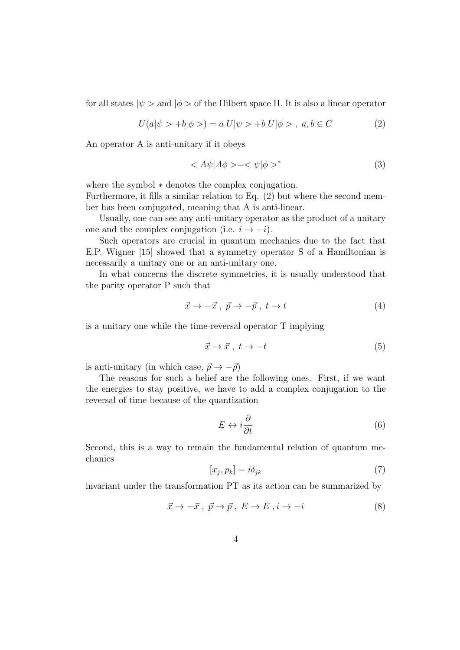for all states  $|\psi\rangle$  and  $|\phi\rangle$  of the Hilbert space H. It is also a linear operator

$$
U(a|\psi > +b|\phi >) = a U|\psi > +b U|\phi > , a, b \in C
$$
 (2)

An operator A is anti-unitary if it obeys

$$
\langle A\psi | A\phi \rangle = \langle \psi | \phi \rangle^* \tag{3}
$$

where the symbol *∗* denotes the complex conjugation.

Furthermore, it fills a similar relation to Eq. (2) but where the second member has been conjugated, meaning that A is anti-linear.

Usually, one can see any anti-unitary operator as the product of a unitary one and the complex conjugation (i.e.  $i \rightarrow -i$ ).

Such operators are crucial in quantum mechanics due to the fact that E.P. Wigner [15] showed that a symmetry operator S of a Hamiltonian is necessarily a unitary one or an anti-unitary one.

In what concerns the discrete symmetries, it is usually understood that the parity operator P such that

$$
\vec{x} \to -\vec{x}, \ \vec{p} \to -\vec{p}, \ t \to t \tag{4}
$$

is a unitary one while the time-reversal operator T implying

$$
\vec{x} \to \vec{x}, \ t \to -t \tag{5}
$$

is anti-unitary (in which case,  $\vec{p} \rightarrow -\vec{p}$ )

The reasons for such a belief are the following ones. First, if we want the energies to stay positive, we have to add a complex conjugation to the reversal of time because of the quantization

$$
E \leftrightarrow i\frac{\partial}{\partial t} \tag{6}
$$

Second, this is a way to remain the fundamental relation of quantum mechanics

$$
[x_j, p_k] = i\delta_{jk} \tag{7}
$$

invariant under the transformation PT as its action can be summarized by

$$
\vec{x} \to -\vec{x}, \ \vec{p} \to \vec{p}, \ E \to E, i \to -i \tag{8}
$$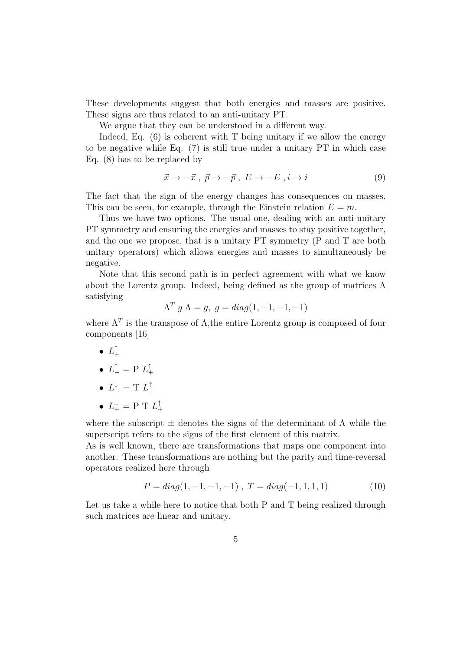These developments suggest that both energies and masses are positive. These signs are thus related to an anti-unitary PT.

We argue that they can be understood in a different way.

Indeed, Eq.  $(6)$  is coherent with T being unitary if we allow the energy to be negative while Eq. (7) is still true under a unitary PT in which case Eq. (8) has to be replaced by

$$
\vec{x} \to -\vec{x}, \ \vec{p} \to -\vec{p}, \ E \to -E, i \to i \tag{9}
$$

The fact that the sign of the energy changes has consequences on masses. This can be seen, for example, through the Einstein relation  $E = m$ .

Thus we have two options. The usual one, dealing with an anti-unitary PT symmetry and ensuring the energies and masses to stay positive together, and the one we propose, that is a unitary PT symmetry (P and T are both unitary operators) which allows energies and masses to simultaneously be negative.

Note that this second path is in perfect agreement with what we know about the Lorentz group. Indeed, being defined as the group of matrices  $\Lambda$ satisfying

$$
\Lambda^T g \Lambda = g, \ g = diag(1, -1, -1, -1)
$$

where  $\Lambda^T$  is the transpose of  $\Lambda$ , the entire Lorentz group is composed of four components [16]

- $\bullet$   $L_{+}^{\mathsf{T}}$
- $L_{-}^{T} = P L_{+}^{T}$
- $L^{\downarrow}_{-} = T L^{\uparrow}_{+}$
- $L_{+}^{\downarrow} = P T L_{+}^{\uparrow}$

where the subscript  $\pm$  denotes the signs of the determinant of  $\Lambda$  while the superscript refers to the signs of the first element of this matrix.

As is well known, there are transformations that maps one component into another. These transformations are nothing but the parity and time-reversal operators realized here through

$$
P = diag(1, -1, -1, -1), \ T = diag(-1, 1, 1, 1)
$$
 (10)

Let us take a while here to notice that both P and T being realized through such matrices are linear and unitary.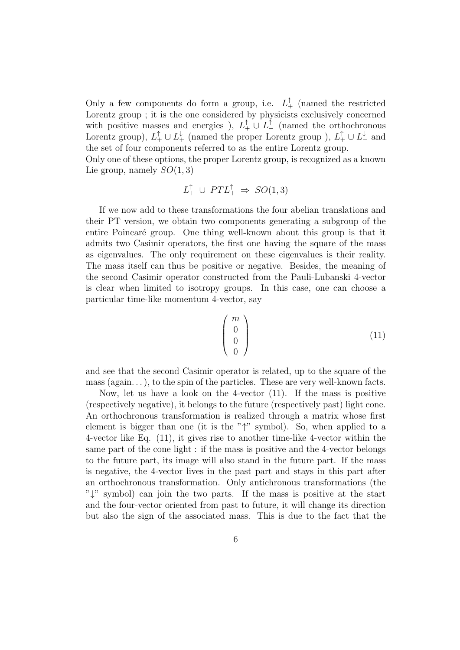Only a few components do form a group, i.e.  $L_+^{\dagger}$  (named the restricted Lorentz group ; it is the one considered by physicists exclusively concerned with positive masses and energies ),  $L_+^{\uparrow} \cup L_-^{\uparrow}$  (named the orthochronous Lorentz group),  $L_+^{\uparrow} \cup L_+^{\downarrow}$  (named the proper Lorentz group ),  $L_+^{\uparrow} \cup L_-^{\downarrow}$  and the set of four components referred to as the entire Lorentz group.

Only one of these options, the proper Lorentz group, is recognized as a known Lie group, namely *SO*(1*,* 3)

$$
L_+^{\uparrow} \cup PTL_+^{\uparrow} \Rightarrow SO(1,3)
$$

If we now add to these transformations the four abelian translations and their PT version, we obtain two components generating a subgroup of the entire Poincaré group. One thing well-known about this group is that it admits two Casimir operators, the first one having the square of the mass as eigenvalues. The only requirement on these eigenvalues is their reality. The mass itself can thus be positive or negative. Besides, the meaning of the second Casimir operator constructed from the Pauli-Lubanski 4-vector is clear when limited to isotropy groups. In this case, one can choose a particular time-like momentum 4-vector, say

$$
\begin{pmatrix} m \\ 0 \\ 0 \\ 0 \end{pmatrix} \tag{11}
$$

and see that the second Casimir operator is related, up to the square of the mass (again...), to the spin of the particles. These are very well-known facts.

Now, let us have a look on the 4-vector (11). If the mass is positive (respectively negative), it belongs to the future (respectively past) light cone. An orthochronous transformation is realized through a matrix whose first element is bigger than one (it is the "*↑*" symbol). So, when applied to a 4-vector like Eq. (11), it gives rise to another time-like 4-vector within the same part of the cone light : if the mass is positive and the 4-vector belongs to the future part, its image will also stand in the future part. If the mass is negative, the 4-vector lives in the past part and stays in this part after an orthochronous transformation. Only antichronous transformations (the "*↓*" symbol) can join the two parts. If the mass is positive at the start and the four-vector oriented from past to future, it will change its direction but also the sign of the associated mass. This is due to the fact that the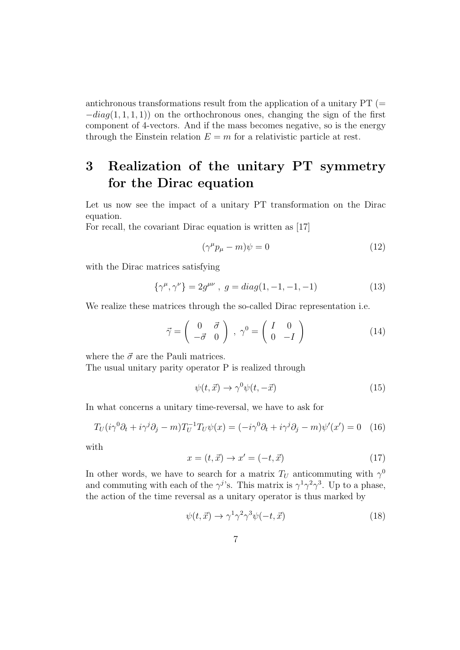antichronous transformations result from the application of a unitary  $PT (=$ *−diag*(1*,* 1*,* 1*,* 1)) on the orthochronous ones, changing the sign of the first component of 4-vectors. And if the mass becomes negative, so is the energy through the Einstein relation  $E = m$  for a relativistic particle at rest.

# **3 Realization of the unitary PT symmetry for the Dirac equation**

Let us now see the impact of a unitary PT transformation on the Dirac equation.

For recall, the covariant Dirac equation is written as [17]

$$
(\gamma^{\mu}p_{\mu} - m)\psi = 0 \tag{12}
$$

with the Dirac matrices satisfying

$$
\{\gamma^{\mu}, \gamma^{\nu}\} = 2g^{\mu\nu} , g = diag(1, -1, -1, -1)
$$
 (13)

We realize these matrices through the so-called Dirac representation i.e.

$$
\vec{\gamma} = \begin{pmatrix} 0 & \vec{\sigma} \\ -\vec{\sigma} & 0 \end{pmatrix}, \ \gamma^0 = \begin{pmatrix} I & 0 \\ 0 & -I \end{pmatrix} \tag{14}
$$

where the  $\vec{\sigma}$  are the Pauli matrices.

The usual unitary parity operator P is realized through

$$
\psi(t, \vec{x}) \to \gamma^0 \psi(t, -\vec{x}) \tag{15}
$$

In what concerns a unitary time-reversal, we have to ask for

$$
T_U(i\gamma^0\partial_t + i\gamma^j\partial_j - m)T_U^{-1}T_U\psi(x) = (-i\gamma^0\partial_t + i\gamma^j\partial_j - m)\psi'(x') = 0 \quad (16)
$$

with

$$
x = (t, \vec{x}) \rightarrow x' = (-t, \vec{x}) \tag{17}
$$

In other words, we have to search for a matrix  $T_U$  anticommuting with  $\gamma^0$ and commuting with each of the  $\gamma^{j}$ 's. This matrix is  $\gamma^{1}\gamma^{2}\gamma^{3}$ . Up to a phase, the action of the time reversal as a unitary operator is thus marked by

$$
\psi(t, \vec{x}) \to \gamma^1 \gamma^2 \gamma^3 \psi(-t, \vec{x}) \tag{18}
$$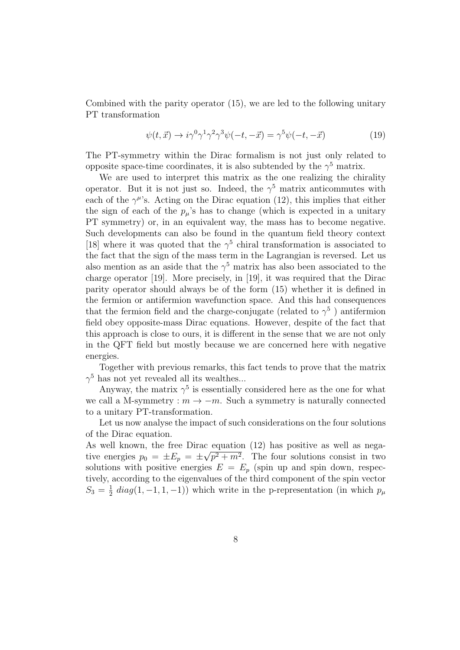Combined with the parity operator (15), we are led to the following unitary PT transformation

$$
\psi(t, \vec{x}) \to i\gamma^0 \gamma^1 \gamma^2 \gamma^3 \psi(-t, -\vec{x}) = \gamma^5 \psi(-t, -\vec{x}) \tag{19}
$$

The PT-symmetry within the Dirac formalism is not just only related to opposite space-time coordinates, it is also subtended by the  $\gamma^5$  matrix.

We are used to interpret this matrix as the one realizing the chirality operator. But it is not just so. Indeed, the  $\gamma^5$  matrix anticommutes with each of the  $\gamma^{\mu}$ 's. Acting on the Dirac equation (12), this implies that either the sign of each of the  $p_\mu$ 's has to change (which is expected in a unitary PT symmetry) or, in an equivalent way, the mass has to become negative. Such developments can also be found in the quantum field theory context [18] where it was quoted that the  $\gamma^5$  chiral transformation is associated to the fact that the sign of the mass term in the Lagrangian is reversed. Let us also mention as an aside that the  $\gamma^5$  matrix has also been associated to the charge operator [19]. More precisely, in [19], it was required that the Dirac parity operator should always be of the form (15) whether it is defined in the fermion or antifermion wavefunction space. And this had consequences that the fermion field and the charge-conjugate (related to  $\gamma^5$ ) antifermion field obey opposite-mass Dirac equations. However, despite of the fact that this approach is close to ours, it is different in the sense that we are not only in the QFT field but mostly because we are concerned here with negative energies.

Together with previous remarks, this fact tends to prove that the matrix  $\gamma^5$  has not yet revealed all its wealthes...

Anyway, the matrix  $\gamma^5$  is essentially considered here as the one for what we call a M-symmetry :  $m \to -m$ . Such a symmetry is naturally connected to a unitary PT-transformation.

Let us now analyse the impact of such considerations on the four solutions of the Dirac equation.

As well known, the free Dirac equation (12) has positive as well as negative energies  $p_0 = \pm E_p = \pm$ *√*  $p^2 + m^2$ . The four solutions consist in two solutions with positive energies  $E = E_p$  (spin up and spin down, respectively, according to the eigenvalues of the third component of the spin vector  $S_3 = \frac{1}{2}$  $\frac{1}{2}$  *diag*(1, -1, 1, -1)) which write in the p-representation (in which  $p_{\mu}$ )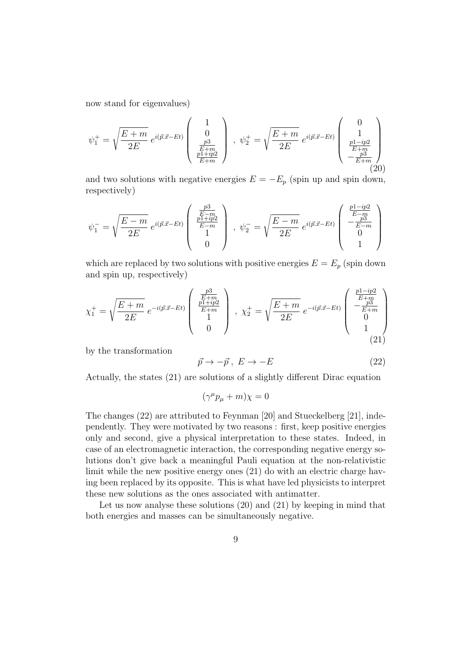now stand for eigenvalues)

$$
\psi_1^+ = \sqrt{\frac{E+m}{2E}} e^{i(\vec{p}.\vec{x} - Et)} \begin{pmatrix} 1 \\ 0 \\ \frac{p3}{E+m} \\ \frac{p1+ip2}{E+m} \end{pmatrix} , \quad \psi_2^+ = \sqrt{\frac{E+m}{2E}} e^{i(\vec{p}.\vec{x} - Et)} \begin{pmatrix} 0 \\ 1 \\ \frac{p1-ip2}{E+m} \\ -\frac{p3}{E+m} \end{pmatrix}
$$
(20)

and two solutions with negative energies  $E = -E_p$  (spin up and spin down, respectively)

$$
\psi_1^- = \sqrt{\frac{E - m}{2E}} e^{i(\vec{p}.\vec{x} - Et)} \begin{pmatrix} \frac{p^3}{E - m} \\ \frac{p1 + ip^2}{E - m} \\ 1 \\ 0 \end{pmatrix}, \ \psi_2^- = \sqrt{\frac{E - m}{2E}} e^{i(\vec{p}.\vec{x} - Et)} \begin{pmatrix} \frac{p1 - ip^2}{E - m} \\ -\frac{p^3}{E - m} \\ 0 \\ 1 \end{pmatrix}
$$

which are replaced by two solutions with positive energies  $E = E_p$  (spin down and spin up, respectively)

$$
\chi_1^+ = \sqrt{\frac{E+m}{2E}} e^{-i(\vec{p}.\vec{x}-Et)} \begin{pmatrix} \frac{p3}{E+m} \\ \frac{p1+ip2}{E+m} \\ 1 \\ 0 \end{pmatrix} , \ \chi_2^+ = \sqrt{\frac{E+m}{2E}} e^{-i(\vec{p}.\vec{x}-Et)} \begin{pmatrix} \frac{p1-ip2}{E+m} \\ -\frac{p3}{E+m} \\ 0 \\ 1 \\ 1 \end{pmatrix}
$$
(21)

by the transformation

$$
\vec{p} \to -\vec{p} \,, \ E \to -E \tag{22}
$$

Actually, the states (21) are solutions of a slightly different Dirac equation

$$
(\gamma^{\mu}p_{\mu}+m)\chi=0
$$

The changes (22) are attributed to Feynman [20] and Stueckelberg [21], independently. They were motivated by two reasons : first, keep positive energies only and second, give a physical interpretation to these states. Indeed, in case of an electromagnetic interaction, the corresponding negative energy solutions don't give back a meaningful Pauli equation at the non-relativistic limit while the new positive energy ones (21) do with an electric charge having been replaced by its opposite. This is what have led physicists to interpret these new solutions as the ones associated with antimatter.

Let us now analyse these solutions (20) and (21) by keeping in mind that both energies and masses can be simultaneously negative.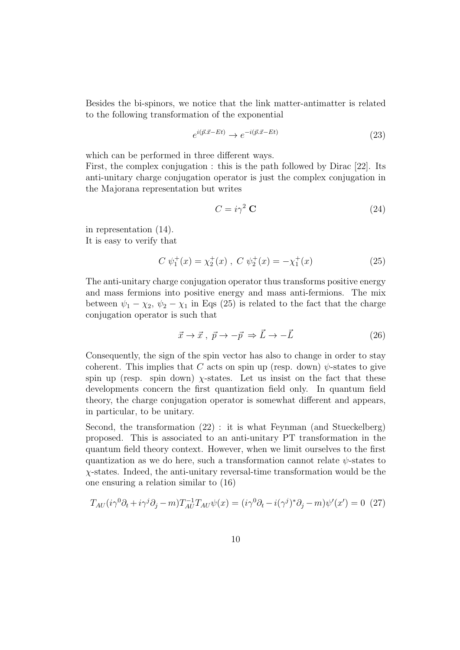Besides the bi-spinors, we notice that the link matter-antimatter is related to the following transformation of the exponential

$$
e^{i(\vec{p}.\vec{x}-Et)} \to e^{-i(\vec{p}.\vec{x}-Et)} \tag{23}
$$

which can be performed in three different ways.

First, the complex conjugation : this is the path followed by Dirac [22]. Its anti-unitary charge conjugation operator is just the complex conjugation in the Majorana representation but writes

$$
C = i\gamma^2 \mathbf{C} \tag{24}
$$

in representation (14). It is easy to verify that

$$
C \psi_1^+(x) = \chi_2^+(x) , C \psi_2^+(x) = -\chi_1^+(x)
$$
 (25)

The anti-unitary charge conjugation operator thus transforms positive energy and mass fermions into positive energy and mass anti-fermions. The mix between  $\psi_1 - \chi_2$ ,  $\psi_2 - \chi_1$  in Eqs (25) is related to the fact that the charge conjugation operator is such that

$$
\vec{x} \to \vec{x}, \ \vec{p} \to -\vec{p} \Rightarrow \vec{L} \to -\vec{L} \tag{26}
$$

Consequently, the sign of the spin vector has also to change in order to stay coherent. This implies that *C* acts on spin up (resp. down)  $\psi$ -states to give spin up (resp. spin down)  $\chi$ -states. Let us insist on the fact that these developments concern the first quantization field only. In quantum field theory, the charge conjugation operator is somewhat different and appears, in particular, to be unitary.

Second, the transformation (22) : it is what Feynman (and Stueckelberg) proposed. This is associated to an anti-unitary PT transformation in the quantum field theory context. However, when we limit ourselves to the first quantization as we do here, such a transformation cannot relate *ψ*-states to *χ*-states. Indeed, the anti-unitary reversal-time transformation would be the one ensuring a relation similar to (16)

$$
T_{AU}(i\gamma^{0}\partial_{t} + i\gamma^{j}\partial_{j} - m)T_{AU}^{-1}T_{AU}\psi(x) = (i\gamma^{0}\partial_{t} - i(\gamma^{j})^{*}\partial_{j} - m)\psi'(x') = 0
$$
 (27)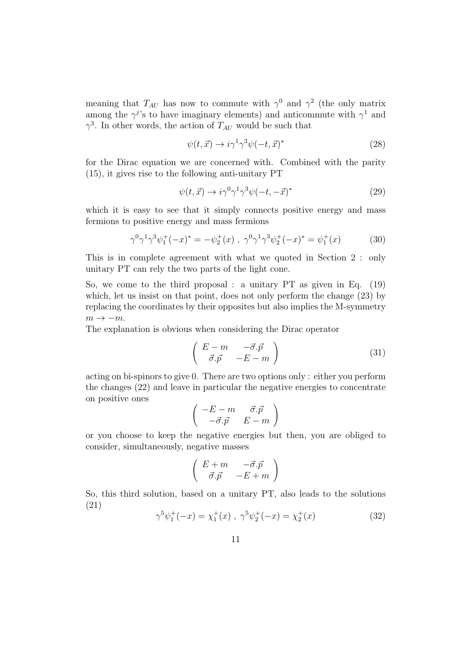meaning that  $T_{AU}$  has now to commute with  $\gamma^0$  and  $\gamma^2$  (the only matrix among the  $\gamma^j$ 's to have imaginary elements) and anticommute with  $\gamma^1$  and  $\gamma^3$ . In other words, the action of  $T_{AU}$  would be such that

$$
\psi(t,\vec{x}) \to i\gamma^1 \gamma^3 \psi(-t,\vec{x})^* \tag{28}
$$

for the Dirac equation we are concerned with. Combined with the parity (15), it gives rise to the following anti-unitary PT

$$
\psi(t, \vec{x}) \to i\gamma^0 \gamma^1 \gamma^3 \psi(-t, -\vec{x})^*
$$
\n(29)

which it is easy to see that it simply connects positive energy and mass fermions to positive energy and mass fermions

$$
\gamma^0 \gamma^1 \gamma^3 \psi_1^+(-x)^* = -\psi_2^+(x) , \ \gamma^0 \gamma^1 \gamma^3 \psi_2^+(-x)^* = \psi_1^+(x) \tag{30}
$$

This is in complete agreement with what we quoted in Section 2 : only unitary PT can rely the two parts of the light cone.

So, we come to the third proposal : a unitary PT as given in Eq. (19) which, let us insist on that point, does not only perform the change (23) by replacing the coordinates by their opposites but also implies the M-symmetry *m → −m*.

The explanation is obvious when considering the Dirac operator

$$
\begin{pmatrix}\nE - m & -\vec{\sigma} \cdot \vec{p} \\
\vec{\sigma} \cdot \vec{p} & -E - m\n\end{pmatrix}
$$
\n(31)

acting on bi-spinors to give 0. There are two options only : either you perform the changes (22) and leave in particular the negative energies to concentrate on positive ones

$$
\left(\begin{array}{cc} -E-m & \vec{\sigma}.\vec{p} \\ -\vec{\sigma}.\vec{p} & E-m \end{array}\right)
$$

or you choose to keep the negative energies but then, you are obliged to consider, simultaneously, negative masses

$$
\left(\begin{array}{cc} E+m & -\vec{\sigma}.\vec{p} \\ \vec{\sigma}.\vec{p} & -E+m \end{array}\right)
$$

So, this third solution, based on a unitary PT, also leads to the solutions (21)

$$
\gamma^5 \psi_1^+(-x) = \chi_1^+(x) , \ \gamma^5 \psi_2^+(-x) = \chi_2^+(x) \tag{32}
$$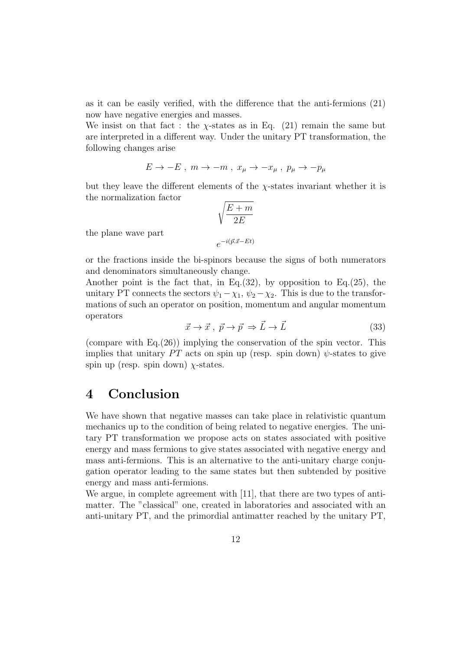as it can be easily verified, with the difference that the anti-fermions (21) now have negative energies and masses.

We insist on that fact : the  $\chi$ -states as in Eq. (21) remain the same but are interpreted in a different way. Under the unitary PT transformation, the following changes arise

$$
E \to -E \; , \; m \to -m \; , \; x_\mu \to -x_\mu \; , \; p_\mu \to -p_\mu
$$

but they leave the different elements of the *χ*-states invariant whether it is the normalization factor

$$
\sqrt{\frac{E+m}{2E}}
$$

$$
e^{-i(\vec{p}.\vec{x}-Et)}
$$

the plane wave part

or the fractions inside the bi-spinors because the signs of both numerators and denominators simultaneously change.

Another point is the fact that, in Eq.(32), by opposition to Eq.(25), the unitary PT connects the sectors  $\psi_1 - \chi_1$ ,  $\psi_2 - \chi_2$ . This is due to the transformations of such an operator on position, momentum and angular momentum operators

$$
\vec{x} \to \vec{x}, \ \vec{p} \to \vec{p} \Rightarrow \vec{L} \to \vec{L} \tag{33}
$$

(compare with Eq.(26)) implying the conservation of the spin vector. This implies that unitary  $PT$  acts on spin up (resp. spin down)  $\psi$ -states to give spin up (resp. spin down)  $\chi$ -states.

## **4 Conclusion**

We have shown that negative masses can take place in relativistic quantum mechanics up to the condition of being related to negative energies. The unitary PT transformation we propose acts on states associated with positive energy and mass fermions to give states associated with negative energy and mass anti-fermions. This is an alternative to the anti-unitary charge conjugation operator leading to the same states but then subtended by positive energy and mass anti-fermions.

We argue, in complete agreement with [11], that there are two types of antimatter. The "classical" one, created in laboratories and associated with an anti-unitary PT, and the primordial antimatter reached by the unitary PT,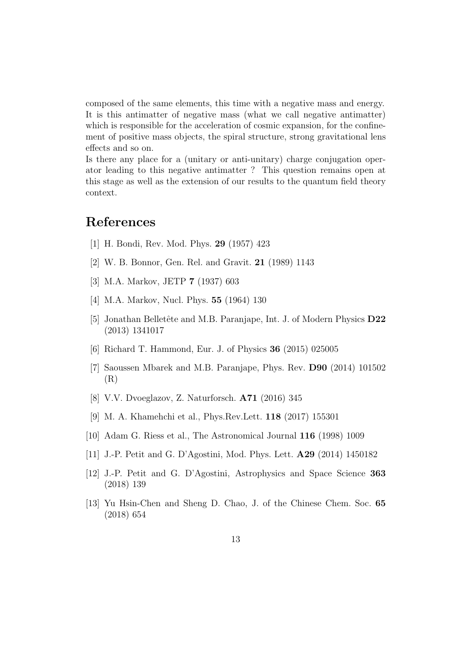composed of the same elements, this time with a negative mass and energy. It is this antimatter of negative mass (what we call negative antimatter) which is responsible for the acceleration of cosmic expansion, for the confinement of positive mass objects, the spiral structure, strong gravitational lens effects and so on.

Is there any place for a (unitary or anti-unitary) charge conjugation operator leading to this negative antimatter ? This question remains open at this stage as well as the extension of our results to the quantum field theory context.

## **References**

- [1] H. Bondi, Rev. Mod. Phys. **29** (1957) 423
- [2] W. B. Bonnor, Gen. Rel. and Gravit. **21** (1989) 1143
- [3] M.A. Markov, JETP **7** (1937) 603
- [4] M.A. Markov, Nucl. Phys. **55** (1964) 130
- [5] Jonathan Belletête and M.B. Paranjape, Int. J. of Modern Physics **D22** (2013) 1341017
- [6] Richard T. Hammond, Eur. J. of Physics **36** (2015) 025005
- [7] Saoussen Mbarek and M.B. Paranjape, Phys. Rev. **D90** (2014) 101502 (R)
- [8] V.V. Dvoeglazov, Z. Naturforsch. **A71** (2016) 345
- [9] M. A. Khamehchi et al., Phys.Rev.Lett. **118** (2017) 155301
- [10] Adam G. Riess et al., The Astronomical Journal **116** (1998) 1009
- [11] J.-P. Petit and G. D'Agostini, Mod. Phys. Lett. **A29** (2014) 1450182
- [12] J.-P. Petit and G. D'Agostini, Astrophysics and Space Science **363** (2018) 139
- [13] Yu Hsin-Chen and Sheng D. Chao, J. of the Chinese Chem. Soc. **65** (2018) 654